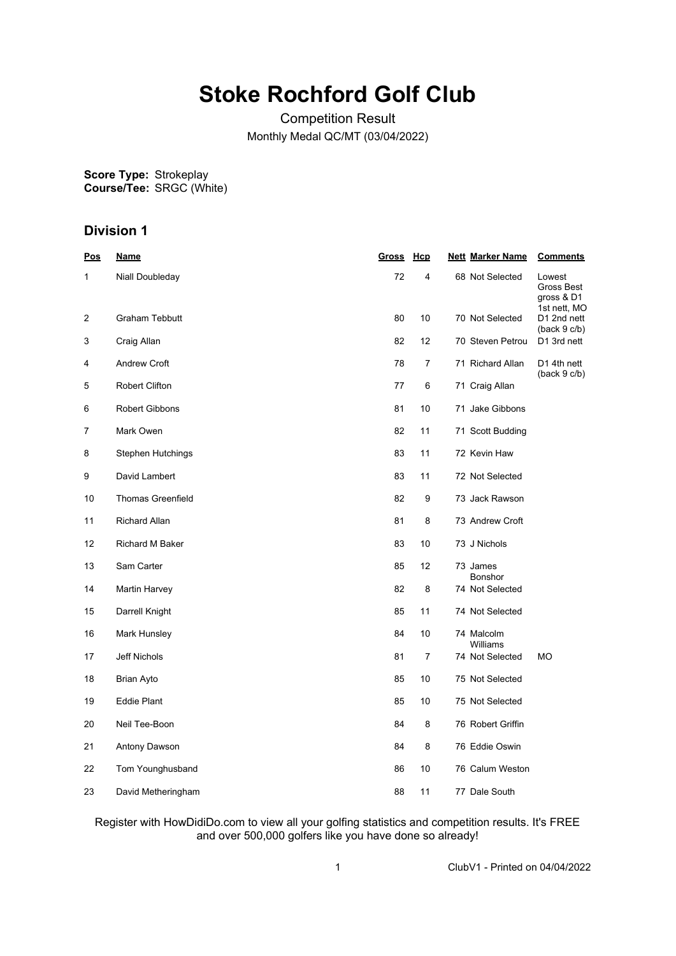# **Stoke Rochford Golf Club**

Competition Result Monthly Medal QC/MT (03/04/2022)

**Score Type: Course/Tee:** Strokeplay SRGC (White)

## **Division 1**

| <u>Pos</u> | <u>Name</u>              | <u>Gross Hcp</u> |                | <b>Nett Marker Name</b> | <b>Comments</b>                    |
|------------|--------------------------|------------------|----------------|-------------------------|------------------------------------|
| 1          | Niall Doubleday          | 72               | 4              | 68 Not Selected         | Lowest<br>Gross Best<br>gross & D1 |
| 2          | <b>Graham Tebbutt</b>    | 80               | 10             | 70 Not Selected         | 1st nett, MO<br>D1 2nd nett        |
| 3          | Craig Allan              | 82               | 12             | 70 Steven Petrou        | (back 9 c/b)<br>D1 3rd nett        |
| 4          | <b>Andrew Croft</b>      | 78               | 7              | 71 Richard Allan        | D1 4th nett<br>(back 9 c/b)        |
| 5          | <b>Robert Clifton</b>    | 77               | 6              | 71 Craig Allan          |                                    |
| 6          | <b>Robert Gibbons</b>    | 81               | 10             | 71 Jake Gibbons         |                                    |
| 7          | Mark Owen                | 82               | 11             | 71 Scott Budding        |                                    |
| 8          | Stephen Hutchings        | 83               | 11             | 72 Kevin Haw            |                                    |
| 9          | David Lambert            | 83               | 11             | 72 Not Selected         |                                    |
| 10         | <b>Thomas Greenfield</b> | 82               | 9              | 73 Jack Rawson          |                                    |
| 11         | <b>Richard Allan</b>     | 81               | 8              | 73 Andrew Croft         |                                    |
| 12         | Richard M Baker          | 83               | 10             | 73 J Nichols            |                                    |
| 13         | Sam Carter               | 85               | 12             | 73 James<br>Bonshor     |                                    |
| 14         | Martin Harvey            | 82               | 8              | 74 Not Selected         |                                    |
| 15         | Darrell Knight           | 85               | 11             | 74 Not Selected         |                                    |
| 16         | Mark Hunsley             | 84               | 10             | 74 Malcolm<br>Williams  |                                    |
| 17         | Jeff Nichols             | 81               | $\overline{7}$ | 74 Not Selected         | МO                                 |
| 18         | Brian Ayto               | 85               | 10             | 75 Not Selected         |                                    |
| 19         | <b>Eddie Plant</b>       | 85               | 10             | 75 Not Selected         |                                    |
| 20         | Neil Tee-Boon            | 84               | 8              | 76 Robert Griffin       |                                    |
| 21         | Antony Dawson            | 84               | 8              | 76 Eddie Oswin          |                                    |
| 22         | Tom Younghusband         | 86               | 10             | 76 Calum Weston         |                                    |
| 23         | David Metheringham       | 88               | 11             | 77 Dale South           |                                    |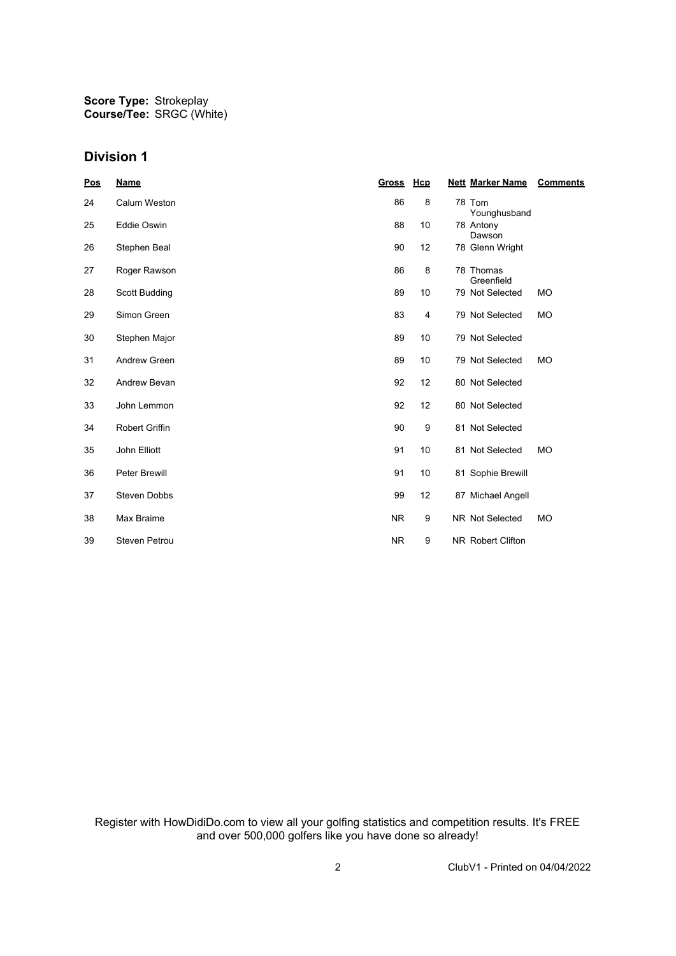**Score Type: Course/Tee:** Strokeplay SRGC (White)

#### **Division 1**

| <u>Pos</u> | <b>Name</b>           | <u>Gross</u> | Hcp            | <b>Nett Marker Name</b> | <b>Comments</b> |
|------------|-----------------------|--------------|----------------|-------------------------|-----------------|
| 24         | Calum Weston          | 86           | 8              | 78 Tom<br>Younghusband  |                 |
| 25         | <b>Eddie Oswin</b>    | 88           | 10             | 78 Antony<br>Dawson     |                 |
| 26         | Stephen Beal          | 90           | 12             | 78 Glenn Wright         |                 |
| 27         | Roger Rawson          | 86           | 8              | 78 Thomas<br>Greenfield |                 |
| 28         | Scott Budding         | 89           | 10             | 79 Not Selected         | <b>MO</b>       |
| 29         | Simon Green           | 83           | $\overline{4}$ | 79 Not Selected         | <b>MO</b>       |
| 30         | Stephen Major         | 89           | 10             | 79 Not Selected         |                 |
| 31         | <b>Andrew Green</b>   | 89           | 10             | 79 Not Selected         | <b>MO</b>       |
| 32         | Andrew Bevan          | 92           | 12             | 80 Not Selected         |                 |
| 33         | John Lemmon           | 92           | 12             | 80 Not Selected         |                 |
| 34         | <b>Robert Griffin</b> | 90           | 9              | 81 Not Selected         |                 |
| 35         | John Elliott          | 91           | 10             | 81 Not Selected         | <b>MO</b>       |
| 36         | <b>Peter Brewill</b>  | 91           | 10             | 81 Sophie Brewill       |                 |
| 37         | <b>Steven Dobbs</b>   | 99           | 12             | 87 Michael Angell       |                 |
| 38         | Max Braime            | <b>NR</b>    | 9              | NR Not Selected         | <b>MO</b>       |
| 39         | <b>Steven Petrou</b>  | <b>NR</b>    | 9              | NR Robert Clifton       |                 |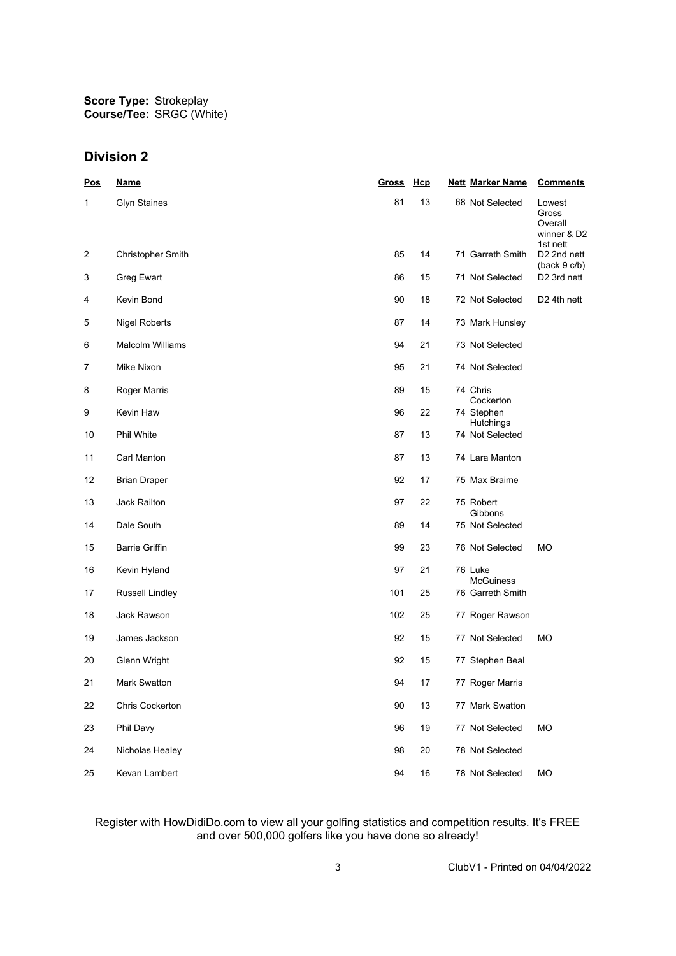### **Division 2**

| <u>Pos</u> | <b>Name</b>              | Gross | <b>Hcp</b> | <b>Nett Marker Name</b>        | <b>Comments</b>                                       |
|------------|--------------------------|-------|------------|--------------------------------|-------------------------------------------------------|
| 1          | <b>Glyn Staines</b>      | 81    | 13         | 68 Not Selected                | Lowest<br>Gross<br>Overall<br>winner & D2<br>1st nett |
| 2          | <b>Christopher Smith</b> | 85    | 14         | 71 Garreth Smith               | D2 2nd nett<br>(back 9 c/b)                           |
| 3          | Greg Ewart               | 86    | 15         | 71 Not Selected                | D2 3rd nett                                           |
| 4          | Kevin Bond               | 90    | 18         | 72 Not Selected                | D <sub>2</sub> 4th nett                               |
| 5          | <b>Nigel Roberts</b>     | 87    | 14         | 73 Mark Hunsley                |                                                       |
| 6          | <b>Malcolm Williams</b>  | 94    | 21         | 73 Not Selected                |                                                       |
| 7          | Mike Nixon               | 95    | 21         | 74 Not Selected                |                                                       |
| 8          | Roger Marris             | 89    | 15         | 74 Chris<br>Cockerton          |                                                       |
| 9          | Kevin Haw                | 96    | 22         | 74 Stephen<br><b>Hutchings</b> |                                                       |
| 10         | Phil White               | 87    | 13         | 74 Not Selected                |                                                       |
| 11         | Carl Manton              | 87    | 13         | 74 Lara Manton                 |                                                       |
| 12         | <b>Brian Draper</b>      | 92    | 17         | 75 Max Braime                  |                                                       |
| 13         | Jack Railton             | 97    | 22         | 75 Robert<br>Gibbons           |                                                       |
| 14         | Dale South               | 89    | 14         | 75 Not Selected                |                                                       |
| 15         | <b>Barrie Griffin</b>    | 99    | 23         | 76 Not Selected                | МO                                                    |
| 16         | Kevin Hyland             | 97    | 21         | 76 Luke<br>McGuiness           |                                                       |
| 17         | Russell Lindley          | 101   | 25         | 76 Garreth Smith               |                                                       |
| 18         | Jack Rawson              | 102   | 25         | 77 Roger Rawson                |                                                       |
| 19         | James Jackson            | 92    | 15         | 77 Not Selected                | МO                                                    |
| 20         | Glenn Wright             | 92    | 15         | 77 Stephen Beal                |                                                       |
| 21         | Mark Swatton             | 94    | 17         | 77 Roger Marris                |                                                       |
| 22         | Chris Cockerton          | 90    | 13         | 77 Mark Swatton                |                                                       |
| 23         | Phil Davy                | 96    | 19         | 77 Not Selected                | MO                                                    |
| 24         | Nicholas Healey          | 98    | 20         | 78 Not Selected                |                                                       |
| 25         | Kevan Lambert            | 94    | 16         | 78 Not Selected                | MO                                                    |